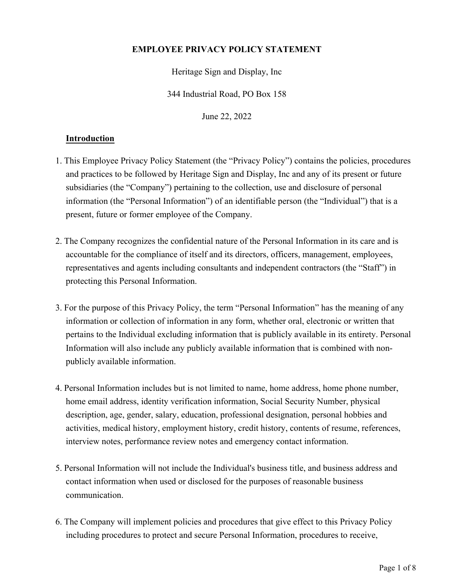# **EMPLOYEE PRIVACY POLICY STATEMENT**

Heritage Sign and Display, Inc

344 Industrial Road, PO Box 158

June 22, 2022

## **Introduction**

- 1. This Employee Privacy Policy Statement (the "Privacy Policy") contains the policies, procedures and practices to be followed by Heritage Sign and Display, Inc and any of its present or future subsidiaries (the "Company") pertaining to the collection, use and disclosure of personal information (the "Personal Information") of an identifiable person (the "Individual") that is a present, future or former employee of the Company.
- 2. The Company recognizes the confidential nature of the Personal Information in its care and is accountable for the compliance of itself and its directors, officers, management, employees, representatives and agents including consultants and independent contractors (the "Staff") in protecting this Personal Information.
- 3. For the purpose of this Privacy Policy, the term "Personal Information" has the meaning of any information or collection of information in any form, whether oral, electronic or written that pertains to the Individual excluding information that is publicly available in its entirety. Personal Information will also include any publicly available information that is combined with nonpublicly available information.
- 4. Personal Information includes but is not limited to name, home address, home phone number, home email address, identity verification information, Social Security Number, physical description, age, gender, salary, education, professional designation, personal hobbies and activities, medical history, employment history, credit history, contents of resume, references, interview notes, performance review notes and emergency contact information.
- 5. Personal Information will not include the Individual's business title, and business address and contact information when used or disclosed for the purposes of reasonable business communication.
- 6. The Company will implement policies and procedures that give effect to this Privacy Policy including procedures to protect and secure Personal Information, procedures to receive,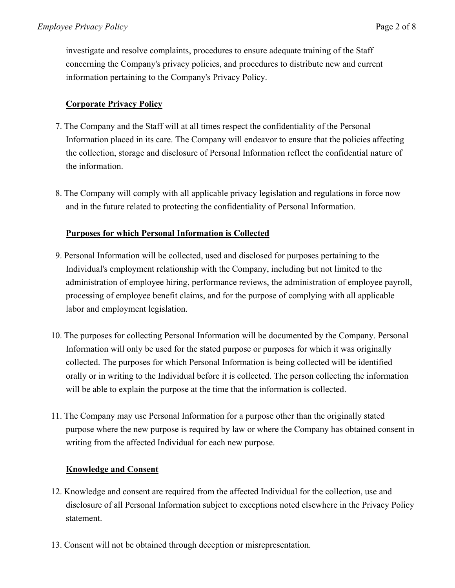investigate and resolve complaints, procedures to ensure adequate training of the Staff concerning the Company's privacy policies, and procedures to distribute new and current information pertaining to the Company's Privacy Policy.

# **Corporate Privacy Policy**

- 7. The Company and the Staff will at all times respect the confidentiality of the Personal Information placed in its care. The Company will endeavor to ensure that the policies affecting the collection, storage and disclosure of Personal Information reflect the confidential nature of the information.
- 8. The Company will comply with all applicable privacy legislation and regulations in force now and in the future related to protecting the confidentiality of Personal Information.

### **Purposes for which Personal Information is Collected**

- 9. Personal Information will be collected, used and disclosed for purposes pertaining to the Individual's employment relationship with the Company, including but not limited to the administration of employee hiring, performance reviews, the administration of employee payroll, processing of employee benefit claims, and for the purpose of complying with all applicable labor and employment legislation.
- 10. The purposes for collecting Personal Information will be documented by the Company. Personal Information will only be used for the stated purpose or purposes for which it was originally collected. The purposes for which Personal Information is being collected will be identified orally or in writing to the Individual before it is collected. The person collecting the information will be able to explain the purpose at the time that the information is collected.
- 11. The Company may use Personal Information for a purpose other than the originally stated purpose where the new purpose is required by law or where the Company has obtained consent in writing from the affected Individual for each new purpose.

#### **Knowledge and Consent**

- 12. Knowledge and consent are required from the affected Individual for the collection, use and disclosure of all Personal Information subject to exceptions noted elsewhere in the Privacy Policy statement.
- 13. Consent will not be obtained through deception or misrepresentation.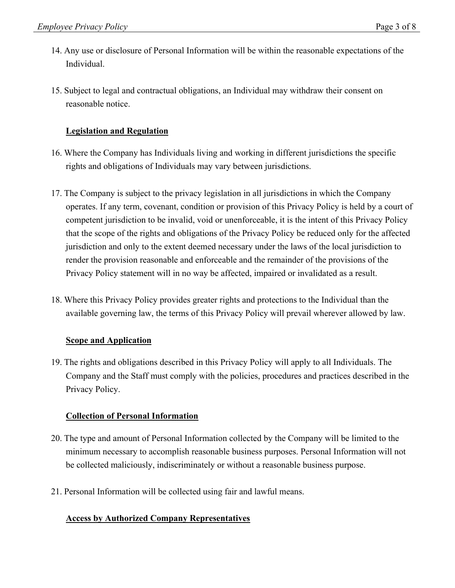- 14. Any use or disclosure of Personal Information will be within the reasonable expectations of the Individual.
- 15. Subject to legal and contractual obligations, an Individual may withdraw their consent on reasonable notice.

## **Legislation and Regulation**

- 16. Where the Company has Individuals living and working in different jurisdictions the specific rights and obligations of Individuals may vary between jurisdictions.
- 17. The Company is subject to the privacy legislation in all jurisdictions in which the Company operates. If any term, covenant, condition or provision of this Privacy Policy is held by a court of competent jurisdiction to be invalid, void or unenforceable, it is the intent of this Privacy Policy that the scope of the rights and obligations of the Privacy Policy be reduced only for the affected jurisdiction and only to the extent deemed necessary under the laws of the local jurisdiction to render the provision reasonable and enforceable and the remainder of the provisions of the Privacy Policy statement will in no way be affected, impaired or invalidated as a result.
- 18. Where this Privacy Policy provides greater rights and protections to the Individual than the available governing law, the terms of this Privacy Policy will prevail wherever allowed by law.

### **Scope and Application**

19. The rights and obligations described in this Privacy Policy will apply to all Individuals. The Company and the Staff must comply with the policies, procedures and practices described in the Privacy Policy.

### **Collection of Personal Information**

- 20. The type and amount of Personal Information collected by the Company will be limited to the minimum necessary to accomplish reasonable business purposes. Personal Information will not be collected maliciously, indiscriminately or without a reasonable business purpose.
- 21. Personal Information will be collected using fair and lawful means.

### **Access by Authorized Company Representatives**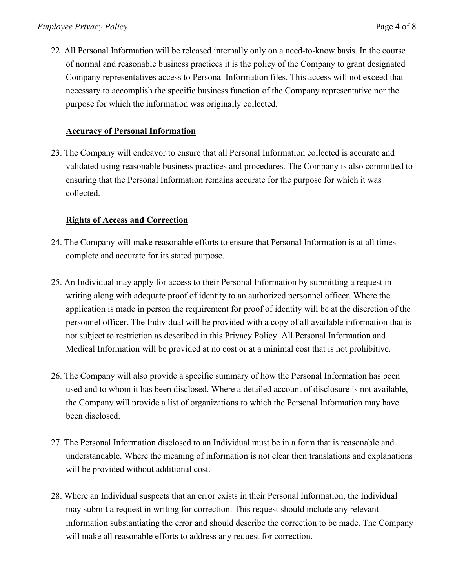22. All Personal Information will be released internally only on a need-to-know basis. In the course of normal and reasonable business practices it is the policy of the Company to grant designated Company representatives access to Personal Information files. This access will not exceed that necessary to accomplish the specific business function of the Company representative nor the purpose for which the information was originally collected.

# **Accuracy of Personal Information**

23. The Company will endeavor to ensure that all Personal Information collected is accurate and validated using reasonable business practices and procedures. The Company is also committed to ensuring that the Personal Information remains accurate for the purpose for which it was collected.

### **Rights of Access and Correction**

- 24. The Company will make reasonable efforts to ensure that Personal Information is at all times complete and accurate for its stated purpose.
- 25. An Individual may apply for access to their Personal Information by submitting a request in writing along with adequate proof of identity to an authorized personnel officer. Where the application is made in person the requirement for proof of identity will be at the discretion of the personnel officer. The Individual will be provided with a copy of all available information that is not subject to restriction as described in this Privacy Policy. All Personal Information and Medical Information will be provided at no cost or at a minimal cost that is not prohibitive.
- 26. The Company will also provide a specific summary of how the Personal Information has been used and to whom it has been disclosed. Where a detailed account of disclosure is not available, the Company will provide a list of organizations to which the Personal Information may have been disclosed.
- 27. The Personal Information disclosed to an Individual must be in a form that is reasonable and understandable. Where the meaning of information is not clear then translations and explanations will be provided without additional cost.
- 28. Where an Individual suspects that an error exists in their Personal Information, the Individual may submit a request in writing for correction. This request should include any relevant information substantiating the error and should describe the correction to be made. The Company will make all reasonable efforts to address any request for correction.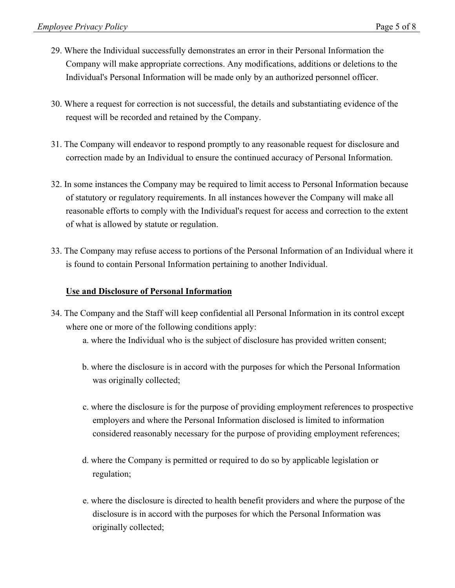- 29. Where the Individual successfully demonstrates an error in their Personal Information the Company will make appropriate corrections. Any modifications, additions or deletions to the Individual's Personal Information will be made only by an authorized personnel officer.
- 30. Where a request for correction is not successful, the details and substantiating evidence of the request will be recorded and retained by the Company.
- 31. The Company will endeavor to respond promptly to any reasonable request for disclosure and correction made by an Individual to ensure the continued accuracy of Personal Information.
- 32. In some instances the Company may be required to limit access to Personal Information because of statutory or regulatory requirements. In all instances however the Company will make all reasonable efforts to comply with the Individual's request for access and correction to the extent of what is allowed by statute or regulation.
- 33. The Company may refuse access to portions of the Personal Information of an Individual where it is found to contain Personal Information pertaining to another Individual.

### **Use and Disclosure of Personal Information**

- 34. The Company and the Staff will keep confidential all Personal Information in its control except where one or more of the following conditions apply:
	- a. where the Individual who is the subject of disclosure has provided written consent;
	- b. where the disclosure is in accord with the purposes for which the Personal Information was originally collected;
	- c. where the disclosure is for the purpose of providing employment references to prospective employers and where the Personal Information disclosed is limited to information considered reasonably necessary for the purpose of providing employment references;
	- d. where the Company is permitted or required to do so by applicable legislation or regulation;
	- e. where the disclosure is directed to health benefit providers and where the purpose of the disclosure is in accord with the purposes for which the Personal Information was originally collected;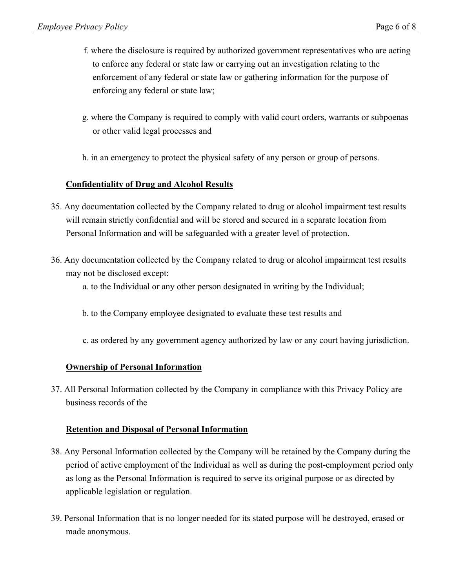- f. where the disclosure is required by authorized government representatives who are acting to enforce any federal or state law or carrying out an investigation relating to the enforcement of any federal or state law or gathering information for the purpose of enforcing any federal or state law;
- g. where the Company is required to comply with valid court orders, warrants or subpoenas or other valid legal processes and
- h. in an emergency to protect the physical safety of any person or group of persons.

### **Confidentiality of Drug and Alcohol Results**

- 35. Any documentation collected by the Company related to drug or alcohol impairment test results will remain strictly confidential and will be stored and secured in a separate location from Personal Information and will be safeguarded with a greater level of protection.
- 36. Any documentation collected by the Company related to drug or alcohol impairment test results may not be disclosed except:
	- a. to the Individual or any other person designated in writing by the Individual;
	- b. to the Company employee designated to evaluate these test results and
	- c. as ordered by any government agency authorized by law or any court having jurisdiction.

### **Ownership of Personal Information**

37. All Personal Information collected by the Company in compliance with this Privacy Policy are business records of the

#### **Retention and Disposal of Personal Information**

- 38. Any Personal Information collected by the Company will be retained by the Company during the period of active employment of the Individual as well as during the post-employment period only as long as the Personal Information is required to serve its original purpose or as directed by applicable legislation or regulation.
- 39. Personal Information that is no longer needed for its stated purpose will be destroyed, erased or made anonymous.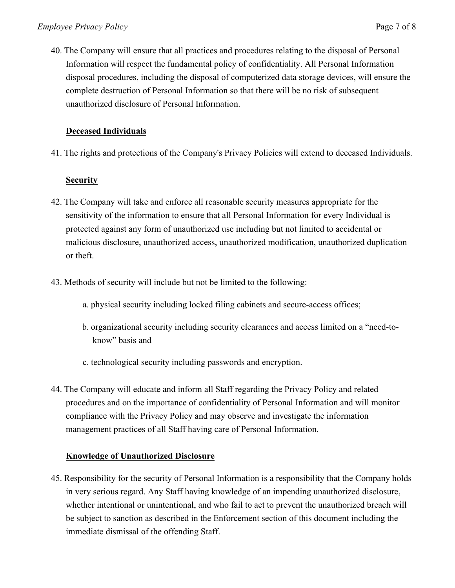40. The Company will ensure that all practices and procedures relating to the disposal of Personal Information will respect the fundamental policy of confidentiality. All Personal Information disposal procedures, including the disposal of computerized data storage devices, will ensure the complete destruction of Personal Information so that there will be no risk of subsequent unauthorized disclosure of Personal Information.

# **Deceased Individuals**

41. The rights and protections of the Company's Privacy Policies will extend to deceased Individuals.

### **Security**

- 42. The Company will take and enforce all reasonable security measures appropriate for the sensitivity of the information to ensure that all Personal Information for every Individual is protected against any form of unauthorized use including but not limited to accidental or malicious disclosure, unauthorized access, unauthorized modification, unauthorized duplication or theft.
- 43. Methods of security will include but not be limited to the following:
	- a. physical security including locked filing cabinets and secure-access offices;
	- b. organizational security including security clearances and access limited on a "need-toknow" basis and
	- c. technological security including passwords and encryption.
- 44. The Company will educate and inform all Staff regarding the Privacy Policy and related procedures and on the importance of confidentiality of Personal Information and will monitor compliance with the Privacy Policy and may observe and investigate the information management practices of all Staff having care of Personal Information.

### **Knowledge of Unauthorized Disclosure**

45. Responsibility for the security of Personal Information is a responsibility that the Company holds in very serious regard. Any Staff having knowledge of an impending unauthorized disclosure, whether intentional or unintentional, and who fail to act to prevent the unauthorized breach will be subject to sanction as described in the Enforcement section of this document including the immediate dismissal of the offending Staff.